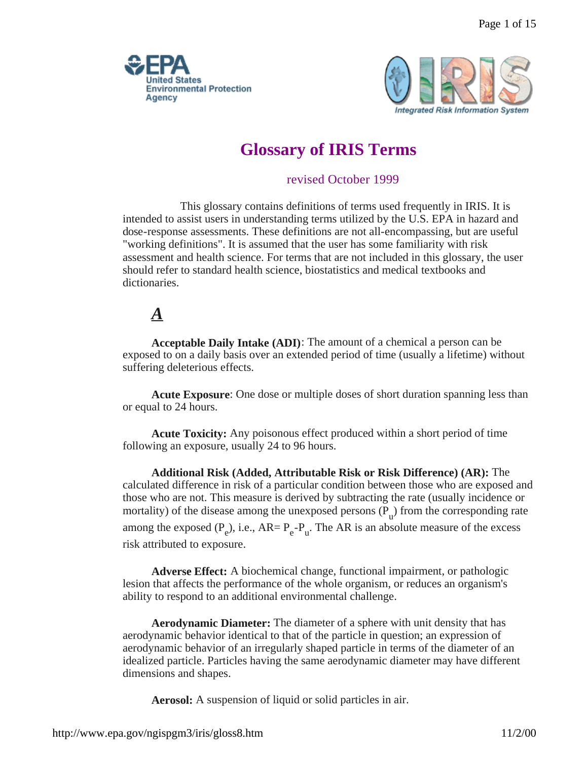



# **Glossary of IRIS Terms**

#### revised October 1999

This glossary contains definitions of terms used frequently in IRIS. It is intended to assist users in understanding terms utilized by the U.S. EPA in hazard and dose-response assessments. These definitions are not all-encompassing, but are useful "working definitions". It is assumed that the user has some familiarity with risk assessment and health science. For terms that are not included in this glossary, the user should refer to standard health science, biostatistics and medical textbooks and dictionaries.

### *A*

**Acceptable Daily Intake (ADI)**: The amount of a chemical a person can be exposed to on a daily basis over an extended period of time (usually a lifetime) without suffering deleterious effects.

**Acute Exposure**: One dose or multiple doses of short duration spanning less than or equal to 24 hours.

**Acute Toxicity:** Any poisonous effect produced within a short period of time following an exposure, usually 24 to 96 hours.

**Additional Risk (Added, Attributable Risk or Risk Difference) (AR):** The calculated difference in risk of a particular condition between those who are exposed and those who are not. This measure is derived by subtracting the rate (usually incidence or mortality) of the disease among the unexposed persons  $(P_u)$  from the corresponding rate among the exposed  $(P_e)$ , i.e.,  $AR = P_e - P_u$ . The AR is an absolute measure of the excess risk attributed to exposure.

**Adverse Effect:** A biochemical change, functional impairment, or pathologic lesion that affects the performance of the whole organism, or reduces an organism's ability to respond to an additional environmental challenge.

**Aerodynamic Diameter:** The diameter of a sphere with unit density that has aerodynamic behavior identical to that of the particle in question; an expression of aerodynamic behavior of an irregularly shaped particle in terms of the diameter of an idealized particle. Particles having the same aerodynamic diameter may have different dimensions and shapes.

**Aerosol:** A suspension of liquid or solid particles in air.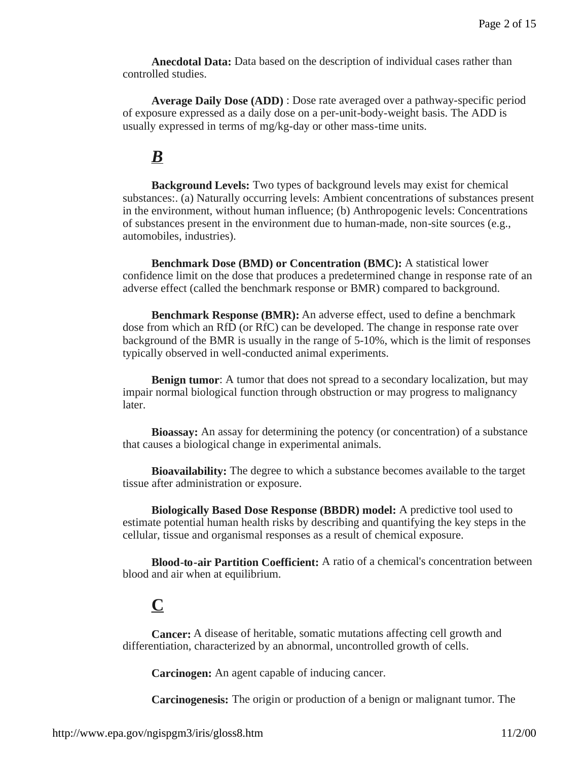**Anecdotal Data:** Data based on the description of individual cases rather than controlled studies.

**Average Daily Dose (ADD)** : Dose rate averaged over a pathway-specific period of exposure expressed as a daily dose on a per-unit-body-weight basis. The ADD is usually expressed in terms of mg/kg-day or other mass-time units.

#### *B*

**Background Levels:** Two types of background levels may exist for chemical substances:. (a) Naturally occurring levels: Ambient concentrations of substances present in the environment, without human influence; (b) Anthropogenic levels: Concentrations of substances present in the environment due to human-made, non-site sources (e.g., automobiles, industries).

**Benchmark Dose (BMD) or Concentration (BMC):** A statistical lower confidence limit on the dose that produces a predetermined change in response rate of an adverse effect (called the benchmark response or BMR) compared to background.

**Benchmark Response (BMR):** An adverse effect, used to define a benchmark dose from which an RfD (or RfC) can be developed. The change in response rate over background of the BMR is usually in the range of 5-10%, which is the limit of responses typically observed in well-conducted animal experiments.

**Benign tumor:** A tumor that does not spread to a secondary localization, but may impair normal biological function through obstruction or may progress to malignancy later.

**Bioassay:** An assay for determining the potency (or concentration) of a substance that causes a biological change in experimental animals.

**Bioavailability:** The degree to which a substance becomes available to the target tissue after administration or exposure.

**Biologically Based Dose Response (BBDR) model:** A predictive tool used to estimate potential human health risks by describing and quantifying the key steps in the cellular, tissue and organismal responses as a result of chemical exposure.

**Blood-to-air Partition Coefficient:** A ratio of a chemical's concentration between blood and air when at equilibrium.

## **C**

**Cancer:** A disease of heritable, somatic mutations affecting cell growth and differentiation, characterized by an abnormal, uncontrolled growth of cells.

**Carcinogen:** An agent capable of inducing cancer.

**Carcinogenesis:** The origin or production of a benign or malignant tumor. The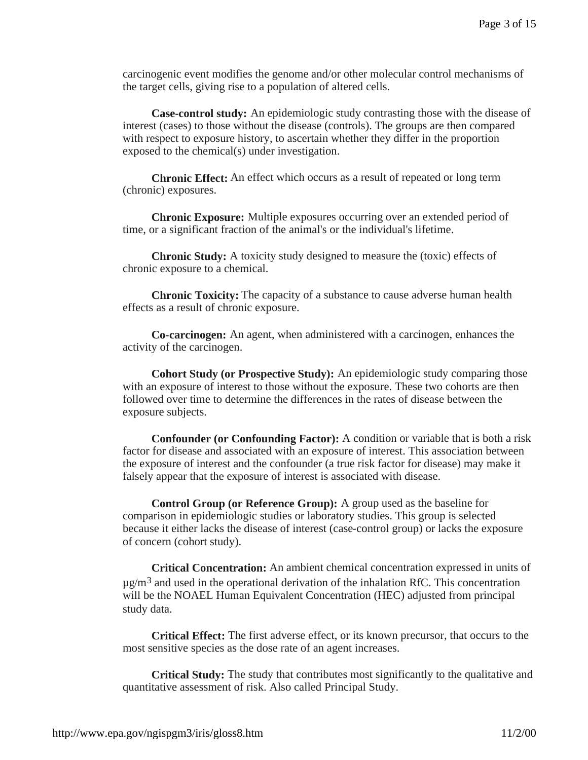carcinogenic event modifies the genome and/or other molecular control mechanisms of the target cells, giving rise to a population of altered cells.

**Case-control study:** An epidemiologic study contrasting those with the disease of interest (cases) to those without the disease (controls). The groups are then compared with respect to exposure history, to ascertain whether they differ in the proportion exposed to the chemical(s) under investigation.

**Chronic Effect:** An effect which occurs as a result of repeated or long term (chronic) exposures.

**Chronic Exposure:** Multiple exposures occurring over an extended period of time, or a significant fraction of the animal's or the individual's lifetime.

**Chronic Study:** A toxicity study designed to measure the (toxic) effects of chronic exposure to a chemical.

**Chronic Toxicity:** The capacity of a substance to cause adverse human health effects as a result of chronic exposure.

**Co-carcinogen:** An agent, when administered with a carcinogen, enhances the activity of the carcinogen.

**Cohort Study (or Prospective Study):** An epidemiologic study comparing those with an exposure of interest to those without the exposure. These two cohorts are then followed over time to determine the differences in the rates of disease between the exposure subjects.

**Confounder (or Confounding Factor):** A condition or variable that is both a risk factor for disease and associated with an exposure of interest. This association between the exposure of interest and the confounder (a true risk factor for disease) may make it falsely appear that the exposure of interest is associated with disease.

**Control Group (or Reference Group):** A group used as the baseline for comparison in epidemiologic studies or laboratory studies. This group is selected because it either lacks the disease of interest (case-control group) or lacks the exposure of concern (cohort study).

**Critical Concentration:** An ambient chemical concentration expressed in units of  $\mu$ g/m<sup>3</sup> and used in the operational derivation of the inhalation RfC. This concentration will be the NOAEL Human Equivalent Concentration (HEC) adjusted from principal study data.

**Critical Effect:** The first adverse effect, or its known precursor, that occurs to the most sensitive species as the dose rate of an agent increases.

**Critical Study:** The study that contributes most significantly to the qualitative and quantitative assessment of risk. Also called Principal Study.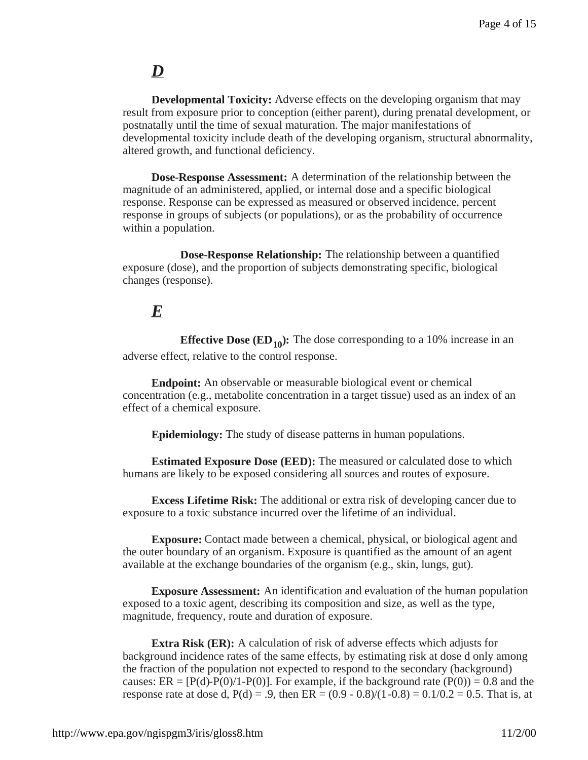# *D*

**Developmental Toxicity:** Adverse effects on the developing organism that may result from exposure prior to conception (either parent), during prenatal development, or postnatally until the time of sexual maturation. The major manifestations of developmental toxicity include death of the developing organism, structural abnormality, altered growth, and functional deficiency.

**Dose-Response Assessment:** A determination of the relationship between the magnitude of an administered, applied, or internal dose and a specific biological response. Response can be expressed as measured or observed incidence, percent response in groups of subjects (or populations), or as the probability of occurrence within a population.

**Dose-Response Relationship:** The relationship between a quantified exposure (dose), and the proportion of subjects demonstrating specific, biological changes (response).

# *E*

**Effective Dose (ED<sub>10</sub>):** The dose corresponding to a 10% increase in an adverse effect, relative to the control response.

**Endpoint:** An observable or measurable biological event or chemical concentration (e.g., metabolite concentration in a target tissue) used as an index of an effect of a chemical exposure.

**Epidemiology:** The study of disease patterns in human populations.

**Estimated Exposure Dose (EED):** The measured or calculated dose to which humans are likely to be exposed considering all sources and routes of exposure.

**Excess Lifetime Risk:** The additional or extra risk of developing cancer due to exposure to a toxic substance incurred over the lifetime of an individual.

**Exposure:** Contact made between a chemical, physical, or biological agent and the outer boundary of an organism. Exposure is quantified as the amount of an agent available at the exchange boundaries of the organism (e.g., skin, lungs, gut).

**Exposure Assessment:** An identification and evaluation of the human population exposed to a toxic agent, describing its composition and size, as well as the type, magnitude, frequency, route and duration of exposure.

**Extra Risk (ER):** A calculation of risk of adverse effects which adjusts for background incidence rates of the same effects, by estimating risk at dose d only among the fraction of the population not expected to respond to the secondary (background) causes:  $ER = [P(d) - P(0)/1 - P(0)]$ . For example, if the background rate  $(P(0)) = 0.8$  and the response rate at dose d,  $P(d) = .9$ , then  $ER = (0.9 - 0.8)/(1 - 0.8) = 0.1/0.2 = 0.5$ . That is, at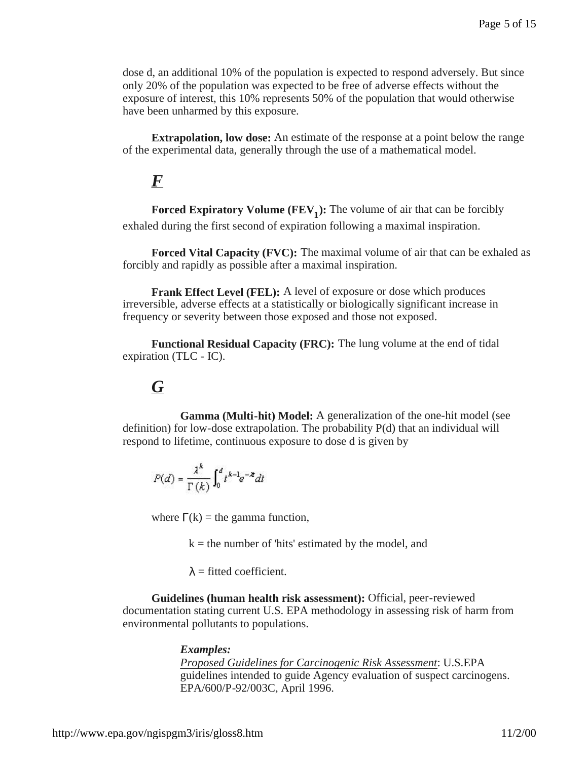dose d, an additional 10% of the population is expected to respond adversely. But since only 20% of the population was expected to be free of adverse effects without the exposure of interest, this 10% represents 50% of the population that would otherwise have been unharmed by this exposure.

**Extrapolation, low dose:** An estimate of the response at a point below the range of the experimental data, generally through the use of a mathematical model.

#### *F*

**Forced Expiratory Volume (FEV<sup>1</sup> ):** The volume of air that can be forcibly exhaled during the first second of expiration following a maximal inspiration.

**Forced Vital Capacity (FVC):** The maximal volume of air that can be exhaled as forcibly and rapidly as possible after a maximal inspiration.

**Frank Effect Level (FEL):** A level of exposure or dose which produces irreversible, adverse effects at a statistically or biologically significant increase in frequency or severity between those exposed and those not exposed.

**Functional Residual Capacity (FRC):** The lung volume at the end of tidal expiration (TLC - IC).

#### *G*

**Gamma (Multi-hit) Model:** A generalization of the one-hit model (see definition) for low-dose extrapolation. The probability P(d) that an individual will respond to lifetime, continuous exposure to dose d is given by

$$
P(d) = \frac{\lambda^k}{\Gamma(k)} \int_0^d t^{k-1} e^{-\lambda t} dt
$$

where  $\Gamma(k)$  = the gamma function,

 $k =$  the number of 'hits' estimated by the model, and

 $\lambda$  = fitted coefficient.

**Guidelines (human health risk assessment):** Official, peer-reviewed documentation stating current U.S. EPA methodology in assessing risk of harm from environmental pollutants to populations.

#### *Examples:*

*Proposed Guidelines for Carcinogenic Risk Assessment*: U.S.EPA guidelines intended to guide Agency evaluation of suspect carcinogens. EPA/600/P-92/003C, April 1996.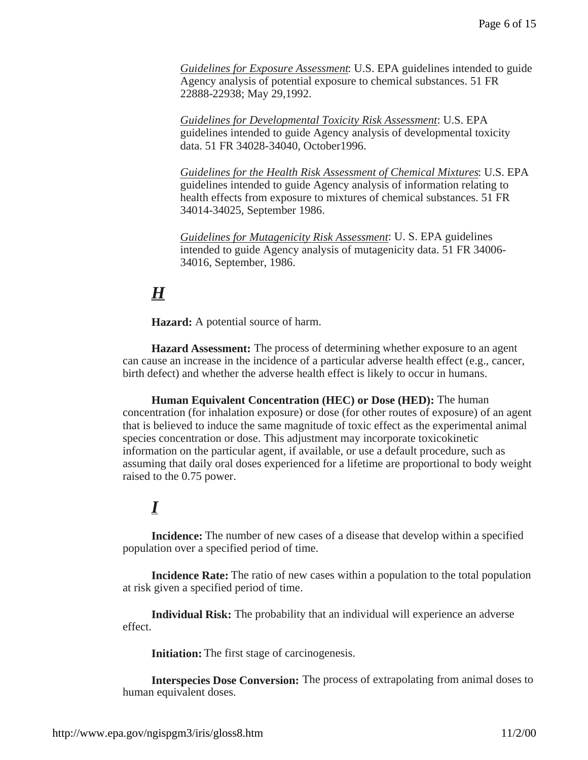*Guidelines for Exposure Assessment*: U.S. EPA guidelines intended to guide Agency analysis of potential exposure to chemical substances. 51 FR 22888-22938; May 29,1992.

*Guidelines for Developmental Toxicity Risk Assessment*: U.S. EPA guidelines intended to guide Agency analysis of developmental toxicity data. 51 FR 34028-34040, October1996.

*Guidelines for the Health Risk Assessment of Chemical Mixtures*: U.S. EPA guidelines intended to guide Agency analysis of information relating to health effects from exposure to mixtures of chemical substances. 51 FR 34014-34025, September 1986.

*Guidelines for Mutagenicity Risk Assessment*: U. S. EPA guidelines intended to guide Agency analysis of mutagenicity data. 51 FR 34006- 34016, September, 1986.

# *H*

**Hazard:** A potential source of harm.

**Hazard Assessment:** The process of determining whether exposure to an agent can cause an increase in the incidence of a particular adverse health effect (e.g., cancer, birth defect) and whether the adverse health effect is likely to occur in humans.

**Human Equivalent Concentration (HEC) or Dose (HED):** The human concentration (for inhalation exposure) or dose (for other routes of exposure) of an agent that is believed to induce the same magnitude of toxic effect as the experimental animal species concentration or dose. This adjustment may incorporate toxicokinetic information on the particular agent, if available, or use a default procedure, such as assuming that daily oral doses experienced for a lifetime are proportional to body weight raised to the 0.75 power.

## *I*

**Incidence:** The number of new cases of a disease that develop within a specified population over a specified period of time.

**Incidence Rate:** The ratio of new cases within a population to the total population at risk given a specified period of time.

**Individual Risk:** The probability that an individual will experience an adverse effect.

**Initiation:** The first stage of carcinogenesis.

**Interspecies Dose Conversion:** The process of extrapolating from animal doses to human equivalent doses.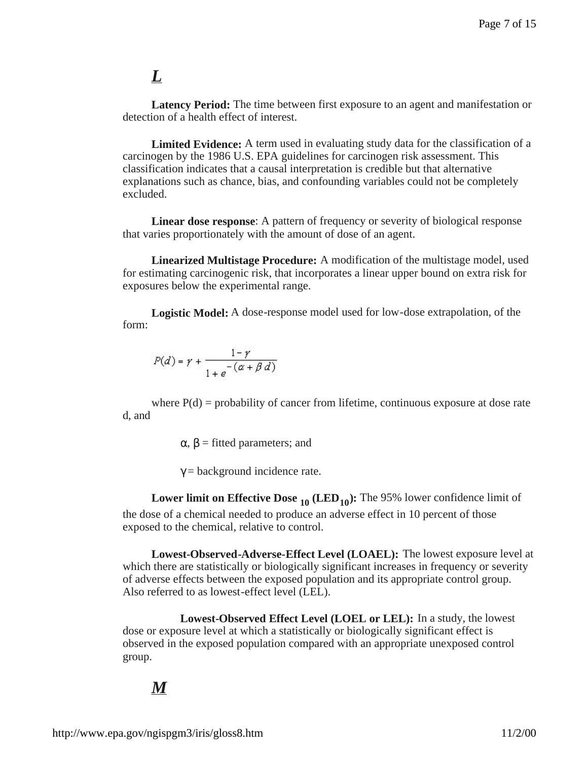### *L*

**Latency Period:** The time between first exposure to an agent and manifestation or detection of a health effect of interest.

**Limited Evidence:** A term used in evaluating study data for the classification of a carcinogen by the 1986 U.S. EPA guidelines for carcinogen risk assessment. This classification indicates that a causal interpretation is credible but that alternative explanations such as chance, bias, and confounding variables could not be completely excluded.

**Linear dose response**: A pattern of frequency or severity of biological response that varies proportionately with the amount of dose of an agent.

**Linearized Multistage Procedure:** A modification of the multistage model, used for estimating carcinogenic risk, that incorporates a linear upper bound on extra risk for exposures below the experimental range.

**Logistic Model:** A dose-response model used for low-dose extrapolation, of the form:

$$
P(d) = \gamma + \frac{1-\gamma}{1+e^{-(\alpha+\beta d)}}
$$

where  $P(d)$  = probability of cancer from lifetime, continuous exposure at dose rate d, and

α, β = fitted parameters; and

 $\gamma$  = background incidence rate.

**Lower limit on Effective Dose <sub>10</sub>** (LED<sub>10</sub>): The 95% lower confidence limit of the dose of a chemical needed to produce an adverse effect in 10 percent of those exposed to the chemical, relative to control.

**Lowest-Observed-Adverse-Effect Level (LOAEL):** The lowest exposure level at which there are statistically or biologically significant increases in frequency or severity of adverse effects between the exposed population and its appropriate control group. Also referred to as lowest-effect level (LEL).

**Lowest-Observed Effect Level (LOEL or LEL):** In a study, the lowest dose or exposure level at which a statistically or biologically significant effect is observed in the exposed population compared with an appropriate unexposed control group.

#### *M*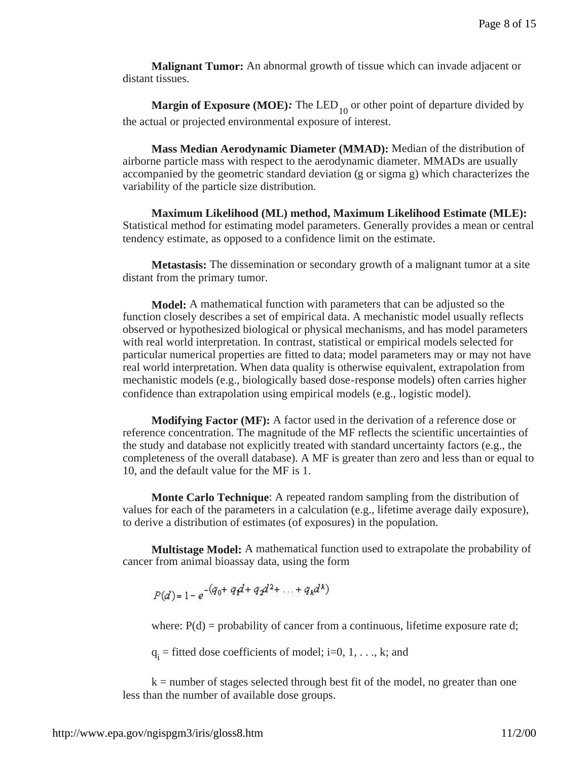**Malignant Tumor:** An abnormal growth of tissue which can invade adjacent or distant tissues.

**Margin of Exposure (MOE):** The LED<sub>10</sub> or other point of departure divided by the actual or projected environmental exposure of interest.

**Mass Median Aerodynamic Diameter (MMAD):** Median of the distribution of airborne particle mass with respect to the aerodynamic diameter. MMADs are usually accompanied by the geometric standard deviation (g or sigma g) which characterizes the variability of the particle size distribution.

**Maximum Likelihood (ML) method, Maximum Likelihood Estimate (MLE):** Statistical method for estimating model parameters. Generally provides a mean or central tendency estimate, as opposed to a confidence limit on the estimate.

**Metastasis:** The dissemination or secondary growth of a malignant tumor at a site distant from the primary tumor.

**Model:** A mathematical function with parameters that can be adjusted so the function closely describes a set of empirical data. A mechanistic model usually reflects observed or hypothesized biological or physical mechanisms, and has model parameters with real world interpretation. In contrast, statistical or empirical models selected for particular numerical properties are fitted to data; model parameters may or may not have real world interpretation. When data quality is otherwise equivalent, extrapolation from mechanistic models (e.g., biologically based dose-response models) often carries higher confidence than extrapolation using empirical models (e.g., logistic model).

**Modifying Factor (MF):** A factor used in the derivation of a reference dose or reference concentration. The magnitude of the MF reflects the scientific uncertainties of the study and database not explicitly treated with standard uncertainty factors (e.g., the completeness of the overall database). A MF is greater than zero and less than or equal to 10, and the default value for the MF is 1.

**Monte Carlo Technique**: A repeated random sampling from the distribution of values for each of the parameters in a calculation (e.g., lifetime average daily exposure), to derive a distribution of estimates (of exposures) in the population.

**Multistage Model:** A mathematical function used to extrapolate the probability of cancer from animal bioassay data, using the form

$$
P(d) = 1 - e^{-(q_0 + q_1 + q_2 + \dots + q_k + k)}
$$

where:  $P(d)$  = probability of cancer from a continuous, lifetime exposure rate d;

 $q_i$  = fitted dose coefficients of model; i=0, 1, ..., k; and

 $k =$  number of stages selected through best fit of the model, no greater than one less than the number of available dose groups.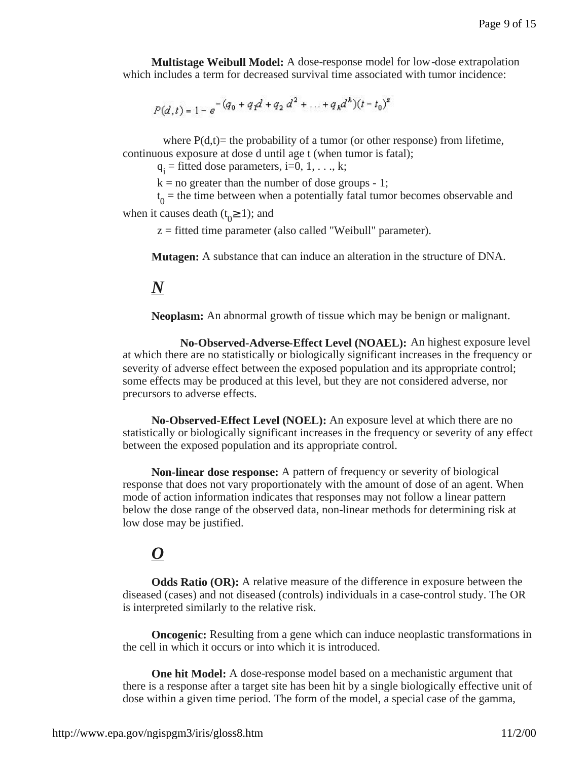**Multistage Weibull Model:** A dose-response model for low-dose extrapolation which includes a term for decreased survival time associated with tumor incidence:

$$
P(d,t) = 1 - e^{-(q_0 + q_1 d + q_2 d^2 + \dots + q_k d^k)(t - t_0)^s}
$$

where  $P(d,t)$  = the probability of a tumor (or other response) from lifetime, continuous exposure at dose d until age t (when tumor is fatal);

 $q_i$  = fitted dose parameters, i=0, 1, ..., k;

 $k = no$  greater than the number of dose groups - 1;

 $t_0$  = the time between when a potentially fatal tumor becomes observable and when it causes death  $(t_0 \ge 1)$ ; and

 $z =$  fitted time parameter (also called "Weibull" parameter).

**Mutagen:** A substance that can induce an alteration in the structure of DNA.

#### *N*

**Neoplasm:** An abnormal growth of tissue which may be benign or malignant.

**No-Observed-Adverse-Effect Level (NOAEL):** An highest exposure level at which there are no statistically or biologically significant increases in the frequency or severity of adverse effect between the exposed population and its appropriate control; some effects may be produced at this level, but they are not considered adverse, nor precursors to adverse effects.

**No-Observed-Effect Level (NOEL):** An exposure level at which there are no statistically or biologically significant increases in the frequency or severity of any effect between the exposed population and its appropriate control.

**Non-linear dose response:** A pattern of frequency or severity of biological response that does not vary proportionately with the amount of dose of an agent. When mode of action information indicates that responses may not follow a linear pattern below the dose range of the observed data, non-linear methods for determining risk at low dose may be justified.

#### *O*

**Odds Ratio (OR):** A relative measure of the difference in exposure between the diseased (cases) and not diseased (controls) individuals in a case-control study. The OR is interpreted similarly to the relative risk.

**Oncogenic:** Resulting from a gene which can induce neoplastic transformations in the cell in which it occurs or into which it is introduced.

**One hit Model:** A dose-response model based on a mechanistic argument that there is a response after a target site has been hit by a single biologically effective unit of dose within a given time period. The form of the model, a special case of the gamma,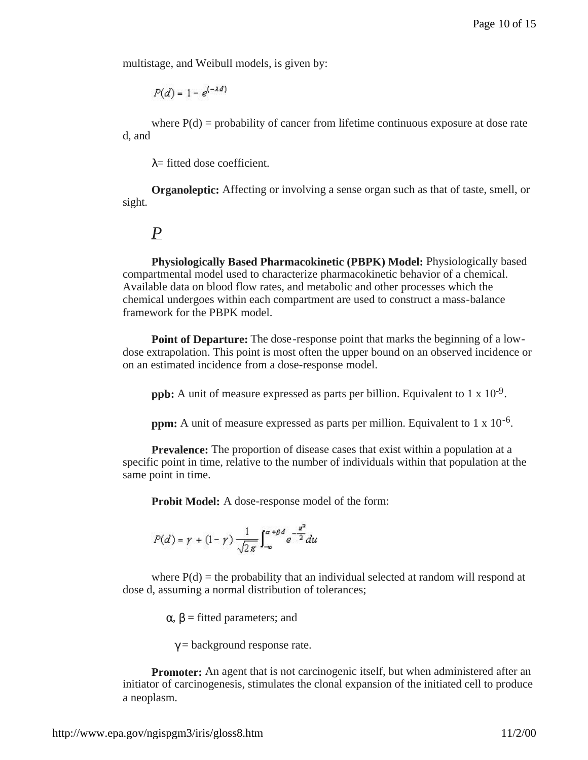multistage, and Weibull models, is given by:

 $P(d) = 1 - e^{(-\lambda d)}$ 

where  $P(d)$  = probability of cancer from lifetime continuous exposure at dose rate d, and

 $\lambda$ = fitted dose coefficient.

**Organoleptic:** Affecting or involving a sense organ such as that of taste, smell, or sight.

# *P*

**Physiologically Based Pharmacokinetic (PBPK) Model:** Physiologically based compartmental model used to characterize pharmacokinetic behavior of a chemical. Available data on blood flow rates, and metabolic and other processes which the chemical undergoes within each compartment are used to construct a mass-balance framework for the PBPK model.

**Point of Departure:** The dose-response point that marks the beginning of a lowdose extrapolation. This point is most often the upper bound on an observed incidence or on an estimated incidence from a dose-response model.

**ppb:** A unit of measure expressed as parts per billion. Equivalent to 1 x 10<sup>-9</sup>.

**ppm:** A unit of measure expressed as parts per million. Equivalent to 1 x 10<sup>-6</sup>.

**Prevalence:** The proportion of disease cases that exist within a population at a specific point in time, relative to the number of individuals within that population at the same point in time.

**Probit Model:** A dose-response model of the form:

$$
P(d) = \gamma + (1 - \gamma) \frac{1}{\sqrt{2\pi}} \int_{-\infty}^{\alpha + \beta d} e^{-\frac{u^2}{2}} du
$$

where  $P(d)$  = the probability that an individual selected at random will respond at dose d, assuming a normal distribution of tolerances;

α, β = fitted parameters; and

 $\gamma$  = background response rate.

**Promoter:** An agent that is not carcinogenic itself, but when administered after an initiator of carcinogenesis, stimulates the clonal expansion of the initiated cell to produce a neoplasm.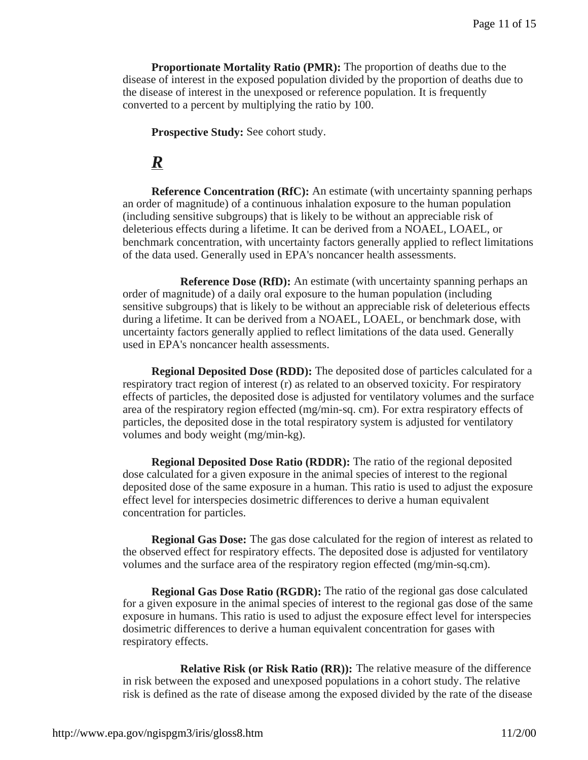**Proportionate Mortality Ratio (PMR):** The proportion of deaths due to the disease of interest in the exposed population divided by the proportion of deaths due to the disease of interest in the unexposed or reference population. It is frequently converted to a percent by multiplying the ratio by 100.

**Prospective Study:** See cohort study.

## *R*

**Reference Concentration (RfC):** An estimate (with uncertainty spanning perhaps an order of magnitude) of a continuous inhalation exposure to the human population (including sensitive subgroups) that is likely to be without an appreciable risk of deleterious effects during a lifetime. It can be derived from a NOAEL, LOAEL, or benchmark concentration, with uncertainty factors generally applied to reflect limitations of the data used. Generally used in EPA's noncancer health assessments.

**Reference Dose (RfD):** An estimate (with uncertainty spanning perhaps an order of magnitude) of a daily oral exposure to the human population (including sensitive subgroups) that is likely to be without an appreciable risk of deleterious effects during a lifetime. It can be derived from a NOAEL, LOAEL, or benchmark dose, with uncertainty factors generally applied to reflect limitations of the data used. Generally used in EPA's noncancer health assessments.

**Regional Deposited Dose (RDD):** The deposited dose of particles calculated for a respiratory tract region of interest (r) as related to an observed toxicity. For respiratory effects of particles, the deposited dose is adjusted for ventilatory volumes and the surface area of the respiratory region effected (mg/min-sq. cm). For extra respiratory effects of particles, the deposited dose in the total respiratory system is adjusted for ventilatory volumes and body weight (mg/min-kg).

**Regional Deposited Dose Ratio (RDDR):** The ratio of the regional deposited dose calculated for a given exposure in the animal species of interest to the regional deposited dose of the same exposure in a human. This ratio is used to adjust the exposure effect level for interspecies dosimetric differences to derive a human equivalent concentration for particles.

**Regional Gas Dose:** The gas dose calculated for the region of interest as related to the observed effect for respiratory effects. The deposited dose is adjusted for ventilatory volumes and the surface area of the respiratory region effected (mg/min-sq.cm).

**Regional Gas Dose Ratio (RGDR):** The ratio of the regional gas dose calculated for a given exposure in the animal species of interest to the regional gas dose of the same exposure in humans. This ratio is used to adjust the exposure effect level for interspecies dosimetric differences to derive a human equivalent concentration for gases with respiratory effects.

**Relative Risk (or Risk Ratio (RR)):** The relative measure of the difference in risk between the exposed and unexposed populations in a cohort study. The relative risk is defined as the rate of disease among the exposed divided by the rate of the disease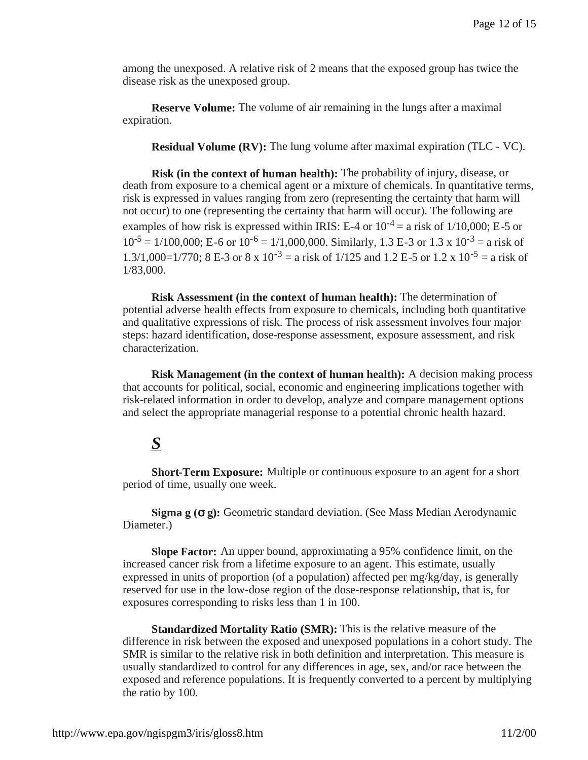among the unexposed. A relative risk of 2 means that the exposed group has twice the disease risk as the unexposed group.

**Reserve Volume:** The volume of air remaining in the lungs after a maximal expiration.

**Residual Volume (RV):** The lung volume after maximal expiration (TLC - VC).

**Risk (in the context of human health):** The probability of injury, disease, or death from exposure to a chemical agent or a mixture of chemicals. In quantitative terms, risk is expressed in values ranging from zero (representing the certainty that harm will not occur) to one (representing the certainty that harm will occur). The following are examples of how risk is expressed within IRIS: E-4 or  $10^{-4}$  = a risk of 1/10,000; E-5 or  $10^{-5} = 1/100,000$ ; E-6 or  $10^{-6} = 1/1,000,000$ . Similarly, 1.3 E-3 or 1.3 x  $10^{-3}$  = a risk of 1.3/1,000=1/770; 8 E-3 or 8 x  $10^{-3}$  = a risk of 1/125 and 1.2 E-5 or 1.2 x  $10^{-5}$  = a risk of 1/83,000.

**Risk Assessment (in the context of human health):** The determination of potential adverse health effects from exposure to chemicals, including both quantitative and qualitative expressions of risk. The process of risk assessment involves four major steps: hazard identification, dose-response assessment, exposure assessment, and risk characterization.

**Risk Management (in the context of human health):** A decision making process that accounts for political, social, economic and engineering implications together with risk-related information in order to develop, analyze and compare management options and select the appropriate managerial response to a potential chronic health hazard.

#### *S*

**Short-Term Exposure:** Multiple or continuous exposure to an agent for a short period of time, usually one week.

**Sigma g (s g):** Geometric standard deviation. (See Mass Median Aerodynamic Diameter.)

**Slope Factor:** An upper bound, approximating a 95% confidence limit, on the increased cancer risk from a lifetime exposure to an agent. This estimate, usually expressed in units of proportion (of a population) affected per mg/kg/day, is generally reserved for use in the low-dose region of the dose-response relationship, that is, for exposures corresponding to risks less than 1 in 100.

**Standardized Mortality Ratio (SMR):** This is the relative measure of the difference in risk between the exposed and unexposed populations in a cohort study. The SMR is similar to the relative risk in both definition and interpretation. This measure is usually standardized to control for any differences in age, sex, and/or race between the exposed and reference populations. It is frequently converted to a percent by multiplying the ratio by 100.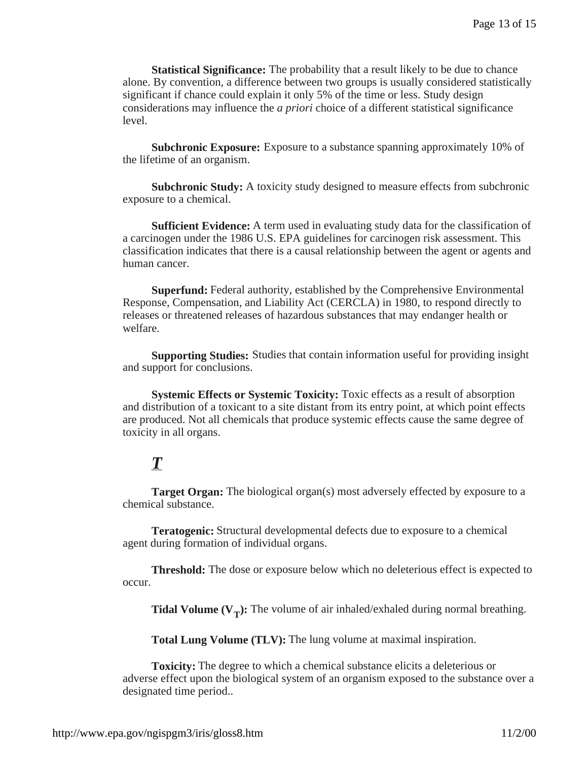**Statistical Significance:** The probability that a result likely to be due to chance alone. By convention, a difference between two groups is usually considered statistically significant if chance could explain it only 5% of the time or less. Study design considerations may influence the *a priori* choice of a different statistical significance level.

**Subchronic Exposure:** Exposure to a substance spanning approximately 10% of the lifetime of an organism.

**Subchronic Study:** A toxicity study designed to measure effects from subchronic exposure to a chemical.

**Sufficient Evidence:** A term used in evaluating study data for the classification of a carcinogen under the 1986 U.S. EPA guidelines for carcinogen risk assessment. This classification indicates that there is a causal relationship between the agent or agents and human cancer.

**Superfund:** Federal authority, established by the Comprehensive Environmental Response, Compensation, and Liability Act (CERCLA) in 1980, to respond directly to releases or threatened releases of hazardous substances that may endanger health or welfare.

**Supporting Studies:** Studies that contain information useful for providing insight and support for conclusions.

**Systemic Effects or Systemic Toxicity:** Toxic effects as a result of absorption and distribution of a toxicant to a site distant from its entry point, at which point effects are produced. Not all chemicals that produce systemic effects cause the same degree of toxicity in all organs.

## *T*

**Target Organ:** The biological organ(s) most adversely effected by exposure to a chemical substance.

**Teratogenic:** Structural developmental defects due to exposure to a chemical agent during formation of individual organs.

**Threshold:** The dose or exposure below which no deleterious effect is expected to occur.

**Tidal Volume (V<sub>T</sub>):** The volume of air inhaled/exhaled during normal breathing.

**Total Lung Volume (TLV):** The lung volume at maximal inspiration.

**Toxicity:** The degree to which a chemical substance elicits a deleterious or adverse effect upon the biological system of an organism exposed to the substance over a designated time period..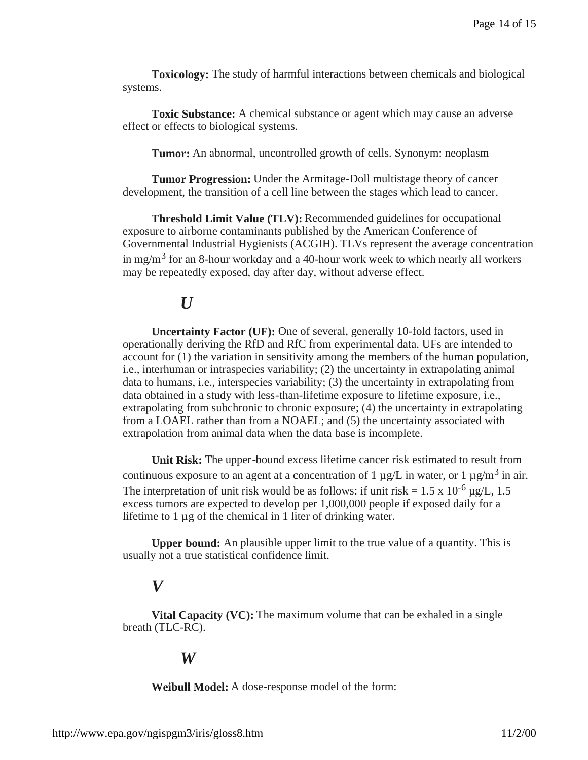**Toxicology:** The study of harmful interactions between chemicals and biological systems.

**Toxic Substance:** A chemical substance or agent which may cause an adverse effect or effects to biological systems.

**Tumor:** An abnormal, uncontrolled growth of cells. Synonym: neoplasm

**Tumor Progression:** Under the Armitage-Doll multistage theory of cancer development, the transition of a cell line between the stages which lead to cancer.

**Threshold Limit Value (TLV):** Recommended guidelines for occupational exposure to airborne contaminants published by the American Conference of Governmental Industrial Hygienists (ACGIH). TLVs represent the average concentration in mg/m<sup>3</sup> for an 8-hour workday and a 40-hour work week to which nearly all workers may be repeatedly exposed, day after day, without adverse effect.

# *U*

**Uncertainty Factor (UF):** One of several, generally 10-fold factors, used in operationally deriving the RfD and RfC from experimental data. UFs are intended to account for (1) the variation in sensitivity among the members of the human population, i.e., interhuman or intraspecies variability; (2) the uncertainty in extrapolating animal data to humans, i.e., interspecies variability; (3) the uncertainty in extrapolating from data obtained in a study with less-than-lifetime exposure to lifetime exposure, i.e., extrapolating from subchronic to chronic exposure; (4) the uncertainty in extrapolating from a LOAEL rather than from a NOAEL; and (5) the uncertainty associated with extrapolation from animal data when the data base is incomplete.

**Unit Risk:** The upper-bound excess lifetime cancer risk estimated to result from continuous exposure to an agent at a concentration of 1  $\mu$ g/L in water, or 1  $\mu$ g/m<sup>3</sup> in air. The interpretation of unit risk would be as follows: if unit risk =  $1.5 \times 10^{-6}$  µg/L, 1.5 excess tumors are expected to develop per 1,000,000 people if exposed daily for a lifetime to 1 µg of the chemical in 1 liter of drinking water.

**Upper bound:** An plausible upper limit to the true value of a quantity. This is usually not a true statistical confidence limit.

## *V*

**Vital Capacity (VC):** The maximum volume that can be exhaled in a single breath (TLC-RC).

#### *W*

**Weibull Model:** A dose-response model of the form: